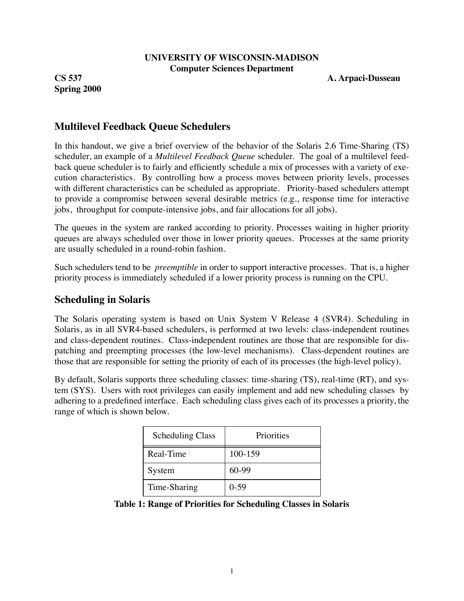#### **UNIVERSITY OF WISCONSIN-MADISON Computer Sciences Department**

**Spring 2000**

**CS 537 A. Arpaci-Dusseau**

## **Multilevel Feedback Queue Schedulers**

In this handout, we give a brief overview of the behavior of the Solaris 2.6 Time-Sharing (TS) scheduler, an example of a *Multilevel Feedback Queue* scheduler. The goal of a multilevel feedback queue scheduler is to fairly and efficiently schedule a mix of processes with a variety of execution characteristics. By controlling how a process moves between priority levels, processes with different characteristics can be scheduled as appropriate. Priority-based schedulers attempt to provide a compromise between several desirable metrics (e.g., response time for interactive jobs, throughput for compute-intensive jobs, and fair allocations for all jobs).

The queues in the system are ranked according to priority. Processes waiting in higher priority queues are always scheduled over those in lower priority queues. Processes at the same priority are usually scheduled in a round-robin fashion.

Such schedulers tend to be *preemptible* in order to support interactive processes. That is, a higher priority process is immediately scheduled if a lower priority process is running on the CPU.

## **Scheduling in Solaris**

The Solaris operating system is based on Unix System V Release 4 (SVR4). Scheduling in Solaris, as in all SVR4-based schedulers, is performed at two levels: class-independent routines and class-dependent routines. Class-independent routines are those that are responsible for dispatching and preempting processes (the low-level mechanisms). Class-dependent routines are those that are responsible for setting the priority of each of its processes (the high-level policy).

By default, Solaris supports three scheduling classes: time-sharing (TS), real-time (RT), and system (SYS). Users with root privileges can easily implement and add new scheduling classes by adhering to a predefined interface. Each scheduling class gives each of its processes a priority, the range of which is shown below.

| <b>Scheduling Class</b> | Priorities |
|-------------------------|------------|
| Real-Time               | 100-159    |
| System                  | $60-99$    |
| Time-Sharing            | $0-59$     |

**Table 1: Range of Priorities for Scheduling Classes in Solaris**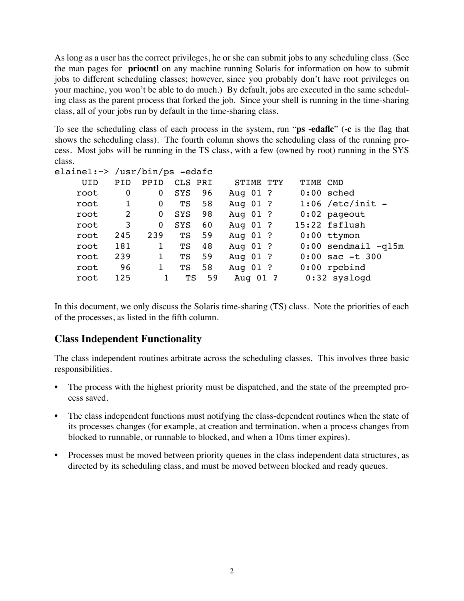As long as a user has the correct privileges, he or she can submit jobs to any scheduling class. (See the man pages for **priocntl** on any machine running Solaris for information on how to submit jobs to different scheduling classes; however, since you probably don't have root privileges on your machine, you won't be able to do much.) By default, jobs are executed in the same scheduling class as the parent process that forked the job. Since your shell is running in the time-sharing class, all of your jobs run by default in the time-sharing class.

To see the scheduling class of each process in the system, run "**ps -edaflc**" (**-c** is the flag that shows the scheduling class). The fourth column shows the scheduling class of the running process. Most jobs will be running in the TS class, with a few (owned by root) running in the SYS class.

| elainel: $\sim$ /usr/bin/ps -edafc |             |          |            |    |           |          |                         |
|------------------------------------|-------------|----------|------------|----|-----------|----------|-------------------------|
| <b>UID</b>                         | PID         | PPID     | CLS PRI    |    | STIME TTY | TIME CMD |                         |
| root                               | $\mathbf 0$ | 0        | SYS        | 96 | Aug 01 ?  |          | $0:00$ sched            |
| root                               |             | 0        | TS         | 58 | Aug 01 ?  |          | $1:06$ /etc/init -      |
| root                               | 2           | 0        | <b>SYS</b> | 98 | Aug 01 ?  |          | $0:02$ pageout          |
| root                               | 3           | $\Omega$ | <b>SYS</b> | 60 | Aug 01 ?  |          | 15:22 fsflush           |
| root                               | 245         | 239      | TS         | 59 | Aug 01 ?  |          | $0:00$ ttymon           |
| root                               | 181         | 1        | TS         | 48 | Aug 01 ?  |          | $0:00$ sendmail $-q15m$ |
| root                               | 239         |          | TS         | 59 | Aug 01 ?  |          | $0:00$ sac $-t$ 300     |
| root                               | 96          |          | TS         | 58 | Aug 01 ?  |          | $0:00$ rpcbind          |
| root                               | 125         |          | ТS         | 59 | Aug 01 ?  |          | $0:32$ syslogd          |
|                                    |             |          |            |    |           |          |                         |

In this document, we only discuss the Solaris time-sharing (TS) class. Note the priorities of each of the processes, as listed in the fifth column.

## **Class Independent Functionality**

The class independent routines arbitrate across the scheduling classes. This involves three basic responsibilities.

- The process with the highest priority must be dispatched, and the state of the preempted process saved.
- The class independent functions must notifying the class-dependent routines when the state of its processes changes (for example, at creation and termination, when a process changes from blocked to runnable, or runnable to blocked, and when a 10ms timer expires).
- Processes must be moved between priority queues in the class independent data structures, as directed by its scheduling class, and must be moved between blocked and ready queues.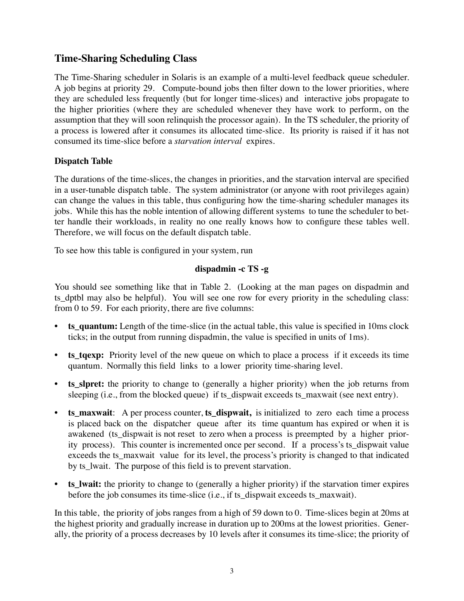# **Time-Sharing Scheduling Class**

The Time-Sharing scheduler in Solaris is an example of a multi-level feedback queue scheduler. A job begins at priority 29. Compute-bound jobs then filter down to the lower priorities, where they are scheduled less frequently (but for longer time-slices) and interactive jobs propagate to the higher priorities (where they are scheduled whenever they have work to perform, on the assumption that they will soon relinquish the processor again). In the TS scheduler, the priority of a process is lowered after it consumes its allocated time-slice. Its priority is raised if it has not consumed its time-slice before a *starvation interval* expires.

### **Dispatch Table**

The durations of the time-slices, the changes in priorities, and the starvation interval are specified in a user-tunable dispatch table. The system administrator (or anyone with root privileges again) can change the values in this table, thus configuring how the time-sharing scheduler manages its jobs. While this has the noble intention of allowing different systems to tune the scheduler to better handle their workloads, in reality no one really knows how to configure these tables well. Therefore, we will focus on the default dispatch table.

To see how this table is configured in your system, run

### **dispadmin -c TS -g**

You should see something like that in Table 2. (Looking at the man pages on dispadmin and ts dptbl may also be helpful). You will see one row for every priority in the scheduling class: from 0 to 59. For each priority, there are five columns:

- **ts\_quantum:** Length of the time-slice (in the actual table, this value is specified in 10ms clock ticks; in the output from running dispadmin, the value is specified in units of 1ms).
- **ts tgexp:** Priority level of the new queue on which to place a process if it exceeds its time quantum. Normally this field links to a lower priority time-sharing level.
- **ts\_slpret:** the priority to change to (generally a higher priority) when the job returns from sleeping (i.e., from the blocked queue) if ts\_dispwait exceeds ts\_maxwait (see next entry).
- **ts\_maxwait**: A per process counter, **ts\_dispwait,** is initialized to zero each time a process is placed back on the dispatcher queue after its time quantum has expired or when it is awakened (ts\_dispwait is not reset to zero when a process is preempted by a higher priority process). This counter is incremented once per second. If a process's ts\_dispwait value exceeds the ts\_maxwait value for its level, the process's priority is changed to that indicated by ts lwait. The purpose of this field is to prevent starvation.
- **ts\_lwait:** the priority to change to (generally a higher priority) if the starvation timer expires before the job consumes its time-slice (i.e., if ts\_dispwait exceeds ts\_maxwait).

In this table, the priority of jobs ranges from a high of 59 down to 0. Time-slices begin at 20ms at the highest priority and gradually increase in duration up to 200ms at the lowest priorities. Generally, the priority of a process decreases by 10 levels after it consumes its time-slice; the priority of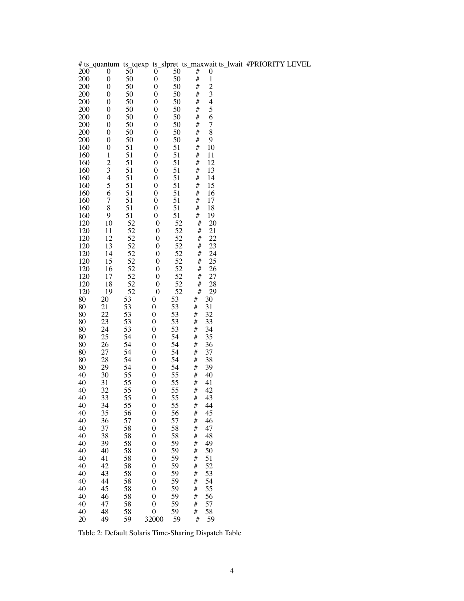|            |                  |          |                                      |          |        |                          | # ts_quantum ts_tqexp ts_slpret ts_maxwait ts_lwait #PRIORITY LEVEL |  |
|------------|------------------|----------|--------------------------------------|----------|--------|--------------------------|---------------------------------------------------------------------|--|
| 200        | 0                | 50       | 0                                    | 50       | #      | 0                        |                                                                     |  |
| 200        | $\boldsymbol{0}$ | 50       | $\boldsymbol{0}$                     | 50       | #      | $\,1$                    |                                                                     |  |
| 200        | $\boldsymbol{0}$ | 50       | $\boldsymbol{0}$                     | 50       | #      | $\overline{\mathbf{c}}$  |                                                                     |  |
| 200        | $\boldsymbol{0}$ | 50       | $\boldsymbol{0}$                     | 50       | #      | 3                        |                                                                     |  |
| 200        | $\boldsymbol{0}$ | 50       | $\boldsymbol{0}$                     | 50       | #      | $\overline{\mathcal{L}}$ |                                                                     |  |
| 200        | $\boldsymbol{0}$ | 50       | $\boldsymbol{0}$                     | 50       | #      | 5                        |                                                                     |  |
| 200        | $\boldsymbol{0}$ | 50       | $\boldsymbol{0}$                     | 50       | #      | 6                        |                                                                     |  |
| 200        | $\boldsymbol{0}$ | 50       | $\boldsymbol{0}$                     | 50       | #      | 7                        |                                                                     |  |
| 200        | $\boldsymbol{0}$ | 50       | $\boldsymbol{0}$                     | 50       | #      | 8                        |                                                                     |  |
| 200        | $\boldsymbol{0}$ | 50       | $\boldsymbol{0}$                     | 50       | #      | 9                        |                                                                     |  |
| 160        | $\boldsymbol{0}$ | 51       | $\boldsymbol{0}$                     | 51       | #      | 10                       |                                                                     |  |
| 160        | $\mathbf 1$      | 51       | $\boldsymbol{0}$                     | 51       | #      | 11                       |                                                                     |  |
| 160        | $\frac{2}{3}$    | 51       | $\boldsymbol{0}$                     | 51       | #      | 12                       |                                                                     |  |
| 160        |                  | 51       | $\boldsymbol{0}$                     | 51       | #      | 13                       |                                                                     |  |
| 160        | $\overline{4}$   | 51       | $\boldsymbol{0}$                     | 51       | #      | 14                       |                                                                     |  |
| 160        | 5                | 51       | $\boldsymbol{0}$                     | 51       | #      | 15                       |                                                                     |  |
| 160        | 6                | 51       | $\boldsymbol{0}$                     | 51       | #      | 16                       |                                                                     |  |
| 160        | 7                | 51       | $\boldsymbol{0}$                     | 51       | #      | 17                       |                                                                     |  |
| 160        | 8                | 51       | $\boldsymbol{0}$                     | 51       | #      | 18                       |                                                                     |  |
| 160        | 9                | 51       | $\boldsymbol{0}$                     | 51       | #      | 19                       |                                                                     |  |
| 120<br>120 | 10<br>11         | 52<br>52 | $\boldsymbol{0}$<br>$\boldsymbol{0}$ | 52<br>52 | #<br># | 20<br>21                 |                                                                     |  |
| 120        | 12               | 52       | $\boldsymbol{0}$                     | 52       | #      | 22                       |                                                                     |  |
| 120        | 13               | 52       | $\boldsymbol{0}$                     | 52       | #      | 23                       |                                                                     |  |
| 120        | 14               | 52       | $\boldsymbol{0}$                     | 52       | #      | 24                       |                                                                     |  |
| 120        | 15               | 52       | $\boldsymbol{0}$                     | 52       | #      | 25                       |                                                                     |  |
| 120        | 16               | 52       | $\boldsymbol{0}$                     | 52       | #      | 26                       |                                                                     |  |
| 120        | 17               | 52       | $\boldsymbol{0}$                     | 52       | #      | 27                       |                                                                     |  |
| 120        | 18               | 52       | $\boldsymbol{0}$                     | 52       | #      | 28                       |                                                                     |  |
| 120        | 19               | 52       | $\boldsymbol{0}$                     | 52       | #      | 29                       |                                                                     |  |
| 80         | 20               | 53       | 0                                    | 53       | #      | 30                       |                                                                     |  |
| 80         | 21               | 53       | $\boldsymbol{0}$                     | 53       | #      | 31                       |                                                                     |  |
| 80         | 22               | 53       | 0                                    | 53       | #      | 32                       |                                                                     |  |
| 80         | 23               | 53       | 0                                    | 53       | #      | 33                       |                                                                     |  |
| 80         | 24               | 53       | $\boldsymbol{0}$                     | 53       | #      | 34                       |                                                                     |  |
| 80         | 25               | 54       | 0                                    | 54       | #      | 35                       |                                                                     |  |
| 80         | 26               | 54       | 0                                    | 54       | #      | 36                       |                                                                     |  |
| 80         | 27               | 54       | $\boldsymbol{0}$                     | 54       | #      | 37                       |                                                                     |  |
| 80         | 28               | 54       | 0                                    | 54       | #      | 38                       |                                                                     |  |
| 80         | 29               | 54       | 0                                    | 54       | #      | 39                       |                                                                     |  |
| 40         | 30               | 55       | $\boldsymbol{0}$                     | 55       | #      | 40                       |                                                                     |  |
| 40         | 31               | 55       | 0                                    | 55       | #      | 41                       |                                                                     |  |
| 40         | 32               | 55       | 0                                    | 55       | #      | 42                       |                                                                     |  |
| 40         | 33               | 55       | $\boldsymbol{0}$                     | 55       | #      | 43                       |                                                                     |  |
| 40<br>40   | 34<br>35         | 55<br>56 | $\boldsymbol{0}$<br>$\boldsymbol{0}$ | 55<br>56 | #<br># | 44<br>45                 |                                                                     |  |
| 40         | 36               | 57       | $\mathbf{0}$                         | 57       | #      | 46                       |                                                                     |  |
| 40         | 37               | 58       | $\mathbf{0}$                         | 58       | $\#$   | 47                       |                                                                     |  |
| 40         | 38               | 58       | $\boldsymbol{0}$                     | 58       | $\#$   | 48                       |                                                                     |  |
| 40         | 39               | 58       | $\boldsymbol{0}$                     | 59       | $\#$   | 49                       |                                                                     |  |
| 40         | 40               | 58       | $\mathbf{0}$                         | 59       | $\#$   | 50                       |                                                                     |  |
| 40         | 41               | 58       | $\boldsymbol{0}$                     | 59       | #      | 51                       |                                                                     |  |
| 40         | 42               | 58       | $\boldsymbol{0}$                     | 59       | $\#$   | 52                       |                                                                     |  |
| 40         | 43               | 58       | $\mathbf{0}$                         | 59       | $\#$   | 53                       |                                                                     |  |
| 40         | 44               | 58       | $\mathbf{0}$                         | 59       | $\#$   | 54                       |                                                                     |  |
| 40         | 45               | 58       | $\mathbf{0}$                         | 59       | #      | 55                       |                                                                     |  |
| 40         | 46               | 58       | $\mathbf{0}$                         | 59       | #      | 56                       |                                                                     |  |
| 40         | 47               | 58       | $\mathbf{0}$                         | 59       | #      | 57                       |                                                                     |  |
| 40         | 48               | 58       | $\boldsymbol{0}$                     | 59       | #      | 58                       |                                                                     |  |
| 20         | 49               | 59       | 32000                                | 59       | #      | 59                       |                                                                     |  |

Table 2: Default Solaris Time-Sharing Dispatch Table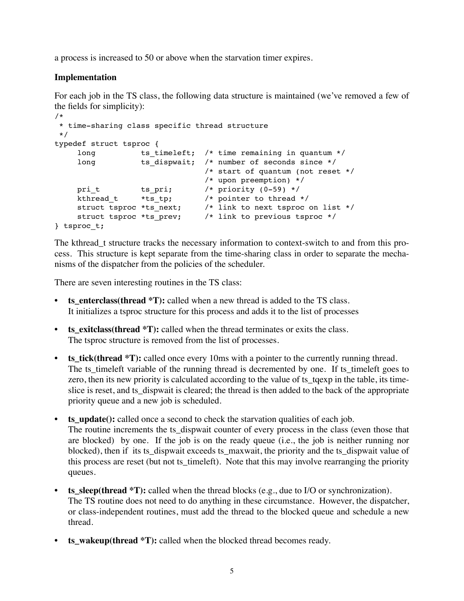a process is increased to 50 or above when the starvation timer expires.

### **Implementation**

For each job in the TS class, the following data structure is maintained (we've removed a few of the fields for simplicity):

```
/*
  * time-sharing class specific thread structure
 */
typedef struct tsproc {
    long ts_timeleft; /* time remaining in quantum */
    long ts dispwait; /* number of seconds since */
                              /* start of quantum (not reset */
                              /* upon preemption) */
    pri t ts pri; /* priority (0-59) */kthread t *ts tp; /* pointer to thread */ struct tsproc *ts_next; /* link to next tsproc on list */
 struct tsproc *ts_prev; /* link to previous tsproc */
} tsproc_t;
```
The kthread t structure tracks the necessary information to context-switch to and from this process. This structure is kept separate from the time-sharing class in order to separate the mechanisms of the dispatcher from the policies of the scheduler.

There are seven interesting routines in the TS class:

- **ts\_enterclass(thread \*T):** called when a new thread is added to the TS class. It initializes a tsproc structure for this process and adds it to the list of processes
- **ts\_exitclass(thread \*T):** called when the thread terminates or exits the class. The tsproc structure is removed from the list of processes.
- **ts\_tick(thread \*T):** called once every 10ms with a pointer to the currently running thread. The ts\_timeleft variable of the running thread is decremented by one. If ts\_timeleft goes to zero, then its new priority is calculated according to the value of ts\_tqexp in the table, its timeslice is reset, and ts\_dispwait is cleared; the thread is then added to the back of the appropriate priority queue and a new job is scheduled.
- **ts** update(): called once a second to check the starvation qualities of each job. The routine increments the ts\_dispwait counter of every process in the class (even those that are blocked) by one. If the job is on the ready queue (i.e., the job is neither running nor blocked), then if its ts\_dispwait exceeds ts\_maxwait, the priority and the ts\_dispwait value of this process are reset (but not ts\_timeleft). Note that this may involve rearranging the priority queues.
- **ts\_sleep(thread \*T):** called when the thread blocks (e.g., due to I/O or synchronization). The TS routine does not need to do anything in these circumstance. However, the dispatcher, or class-independent routines, must add the thread to the blocked queue and schedule a new thread.
- **ts\_wakeup(thread \*T):** called when the blocked thread becomes ready.